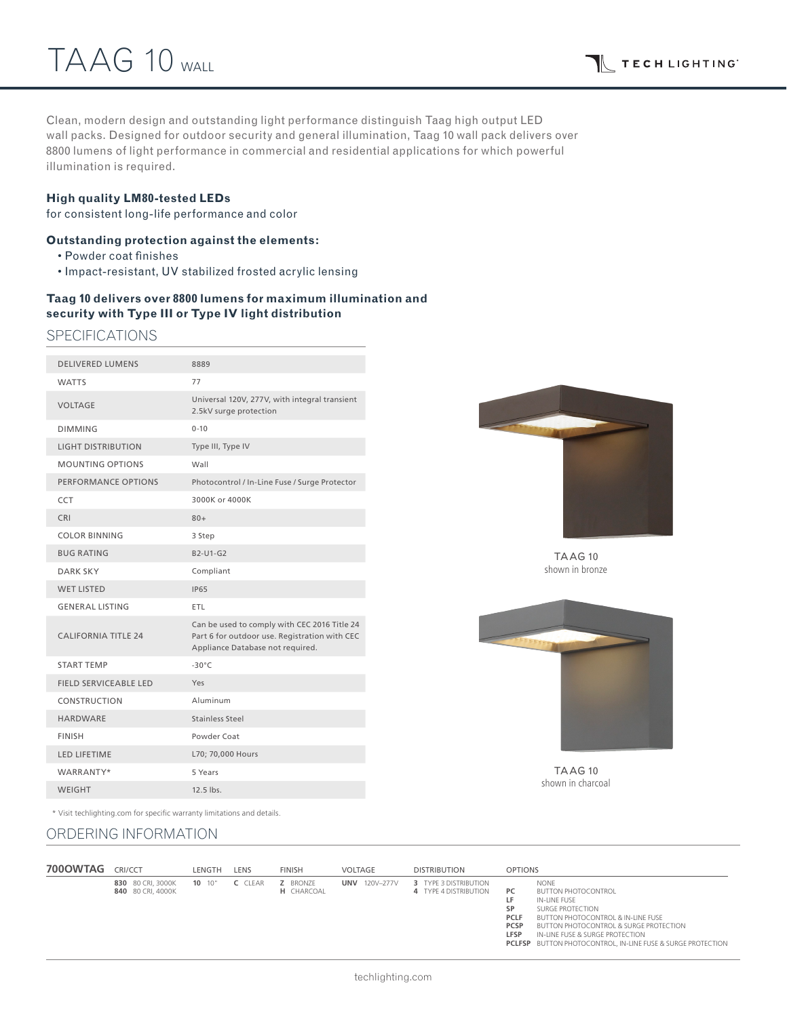Clean, modern design and outstanding light performance distinguish Taag high output LED wall packs. Designed for outdoor security and general illumination, Taag 10 wall pack delivers over 8800 lumens of light performance in commercial and residential applications for which powerful illumination is required.

#### **High quality LM80-tested LEDs**

for consistent long-life performance and color

### **Outstanding protection against the elements:**

- Powder coat finishes
- Impact-resistant, UV stabilized frosted acrylic lensing

## **Taag 10 delivers over 8800 lumens for maximum illumination and security with Type III or Type IV light distribution**

SPECIFICATIONS

| <b>DELIVERED LUMENS</b>    | 8889                                                                                                                              |
|----------------------------|-----------------------------------------------------------------------------------------------------------------------------------|
| <b>WATTS</b>               | 77                                                                                                                                |
| <b>VOLTAGE</b>             | Universal 120V, 277V, with integral transient<br>2.5kV surge protection                                                           |
| <b>DIMMING</b>             | $0 - 10$                                                                                                                          |
| <b>LIGHT DISTRIBUTION</b>  | Type III, Type IV                                                                                                                 |
| <b>MOUNTING OPTIONS</b>    | Wall                                                                                                                              |
| PERFORMANCE OPTIONS        | Photocontrol / In-Line Fuse / Surge Protector                                                                                     |
| CCT                        | 3000K or 4000K                                                                                                                    |
| CRI                        | $80+$                                                                                                                             |
| <b>COLOR BINNING</b>       | 3 Step                                                                                                                            |
| <b>BUG RATING</b>          | B2-U1-G2                                                                                                                          |
| <b>DARK SKY</b>            | Compliant                                                                                                                         |
| <b>WET LISTED</b>          | <b>IP65</b>                                                                                                                       |
| <b>GENERAL LISTING</b>     | <b>ETL</b>                                                                                                                        |
| <b>CALIFORNIA TITLE 24</b> | Can be used to comply with CEC 2016 Title 24<br>Part 6 for outdoor use. Registration with CEC<br>Appliance Database not required. |
| <b>START TFMP</b>          | $-30^{\circ}$ C                                                                                                                   |
| FIELD SERVICEABLE LED      | Yes                                                                                                                               |
| CONSTRUCTION               | Aluminum                                                                                                                          |
| <b>HARDWARE</b>            | Stainless Steel                                                                                                                   |
| <b>FINISH</b>              | Powder Coat                                                                                                                       |
| <b>LED LIFETIME</b>        | L70; 70,000 Hours                                                                                                                 |
| WARRANTY*                  | 5 Years                                                                                                                           |
| <b>WEIGHT</b>              | $12.5$ lbs.                                                                                                                       |
|                            |                                                                                                                                   |



TAAG 10 shown in bronze



TAAG 10 shown in charcoal

\* Visit techlighting.com for specific warranty limitations and details.

## ORDERING INFORMATION

| 700OWTAG | CRI/CCT                                | <b>LENGTH</b> | LENS    | <b>FINISH</b>                        | VOLTAGE                 | <b>DISTRIBUTION</b>                            | <b>OPTIONS</b>                                                                                                                                                                                                                                                                                                                                                |
|----------|----------------------------------------|---------------|---------|--------------------------------------|-------------------------|------------------------------------------------|---------------------------------------------------------------------------------------------------------------------------------------------------------------------------------------------------------------------------------------------------------------------------------------------------------------------------------------------------------------|
|          | 830 80 CRI. 3000K<br>840 80 CRI, 4000K | $10^{10}$     | C CLEAR | <b>Z</b> BRONZE<br><b>H</b> CHARCOAL | 120V-277V<br><b>UNV</b> | 3 TYPE 3 DISTRIBUTION<br>4 TYPE 4 DISTRIBUTION | <b>NONE</b><br>PC.<br><b>BUTTON PHOTOCONTROL</b><br>LF.<br>IN-LINE FUSE<br>SURGE PROTECTION<br>SP<br><b>BUTTON PHOTOCONTROL &amp; IN-LINE FUSE</b><br><b>PCLF</b><br><b>PCSP</b><br><b>BUTTON PHOTOCONTROL &amp; SURGE PROTECTION</b><br><b>LFSP</b><br>IN-LINE FUSE & SURGE PROTECTION<br><b>PCLFSP</b> BUTTON PHOTOCONTROL. IN-LINE FUSE & SURGE PROTECTION |